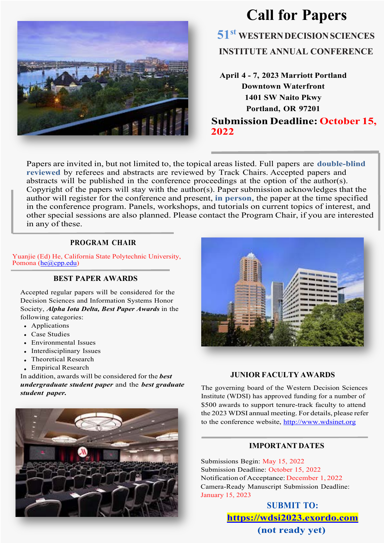

# **Call for Papers 51st WESTERNDECISIONSCIENCES INSTITUTE ANNUAL CONFERENCE**

**April 4 - 7, 2023 Marriott Portland Downtown Waterfront 1401 SW Naito Pkwy Portland, OR 97201 Submission Deadline: October 15, 2022**

Papers are invited in, but not limited to, the topical areas listed. Full papers are **double-blind reviewed** by referees and abstracts are reviewed by Track Chairs. Accepted papers and abstracts will be published in the conference proceedings at the option of the author(s). Copyright of the papers will stay with the author(s). Paper submission acknowledges that the author will register for the conference and present, **in person**, the paper at the time specified in the conference program. Panels, workshops, and tutorials on current topics of interest, and other special sessions are also planned. Please contact the Program Chair, if you are interested in any of these.

#### **PROGRAM CHAIR**

Yuanjie (Ed) He, California State Polytechnic University, Pomona (he@cpp.edu)

#### **BEST PAPER AWARDS**

Accepted regular papers will be considered for the Decision Sciences and Information Systems Honor Society, *Alpha Iota Delta, Best Paper Awards* in the following categories:

- Applications
- Case Studies
- Environmental Issues
- Interdisciplinary Issues
- Theoretical Research
- Empirical Research

In addition, awards will be considered for the *best undergraduate student paper* and the *best graduate student paper.*



### **JUNIOR FACULTY AWARDS**

The governing board of the Western Decision Sciences Institute (WDSI) has approved funding for a number of \$500 awards to support tenure-track faculty to attend the 2023 WDSI annual meeting. For details, please refer to the conference website, http://www.wdsinet.org

#### **IMPORTANT DATES**

Submissions Begin: May 15, 2022 Submission Deadline: October 15, 2022 Notification of Acceptance: December 1, 2022 Camera-Ready Manuscript Submission Deadline: January 15, 2023

> **SUBMIT TO: https://wdsi2023.exordo.com (not ready yet)**